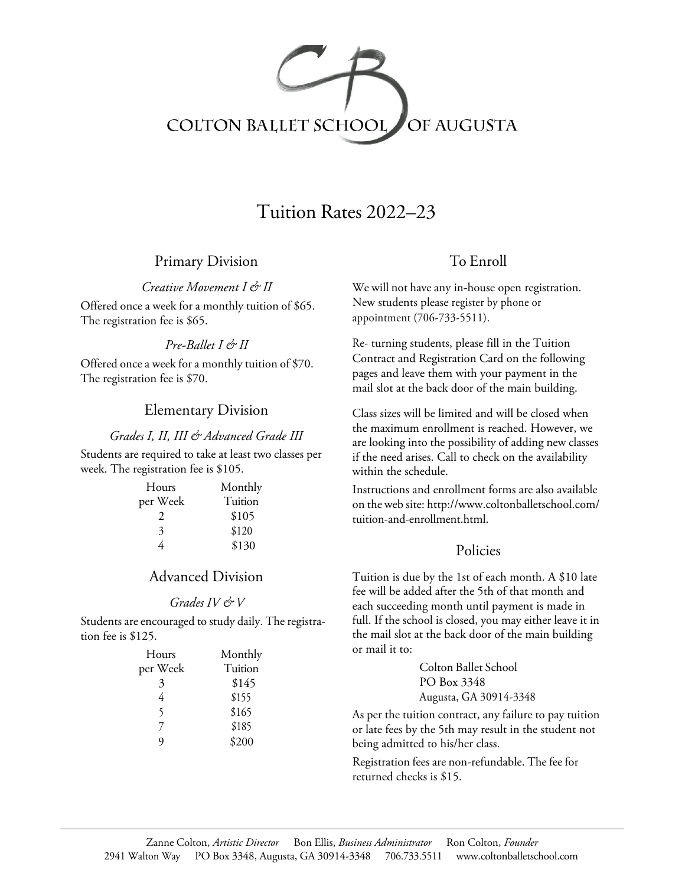

# Tuition Rates 2022–23

## Primary Division

*Creative Movement I & II*

Offered once a week for a monthly tuition of \$65. The registration fee is \$65.

### *Pre-Ballet I & II*

Offered once a week for a monthly tuition of \$70. The registration fee is \$70.

### Elementary Division

#### *Grades I, II, III & Advanced Grade III*

Students are required to take at least two classes per week. The registration fee is \$105.

| Hours    | Monthly |
|----------|---------|
| per Week | Tuition |
| 2        | \$105   |
| 3        | \$120   |
| 4        | \$130   |

## Advanced Division

#### *Grades IV & V*

Students are encouraged to study daily. The registration fee is \$125.

## To Enroll

We will not have any in-house open registration. New students please register by phone or appointment (706-733-5511).

Re- turning students, please fill in the Tuition Contract and Registration Card on the following pages and leave them with your payment in the mail slot at the back door of the main building.

Class sizes will be limited and will be closed when the maximum enrollment is reached. However, we are looking into the possibility of adding new classes if the need arises. Call to check on the availability within the schedule.

Instructions and enrollment forms are also available on the web site: http://www.coltonballetschool.com/ tuition-and-enrollment.html.

### Policies

Tuition is due by the 1st of each month. A \$10 late fee will be added after the 5th of that month and each succeeding month until payment is made in full. If the school is closed, you may either leave it in the mail slot at the back door of the main building or mail it to:

| Hours    | Monthly | or mail it to:                                                                |
|----------|---------|-------------------------------------------------------------------------------|
| per Week | Tuition | Colton Ballet School                                                          |
| 3        | \$145   | PO Box 3348                                                                   |
| 4        | \$155   | Augusta, GA 30914-3348                                                        |
|          | \$165   | As per the tuition contract, any failure to pay tuition                       |
|          | \$185   | or late fees by the 5th may result in the student not                         |
| Q        | \$200   | being admitted to his/her class.                                              |
|          |         | Registration fees are non-refundable. The fee for<br>returned checks is \$15. |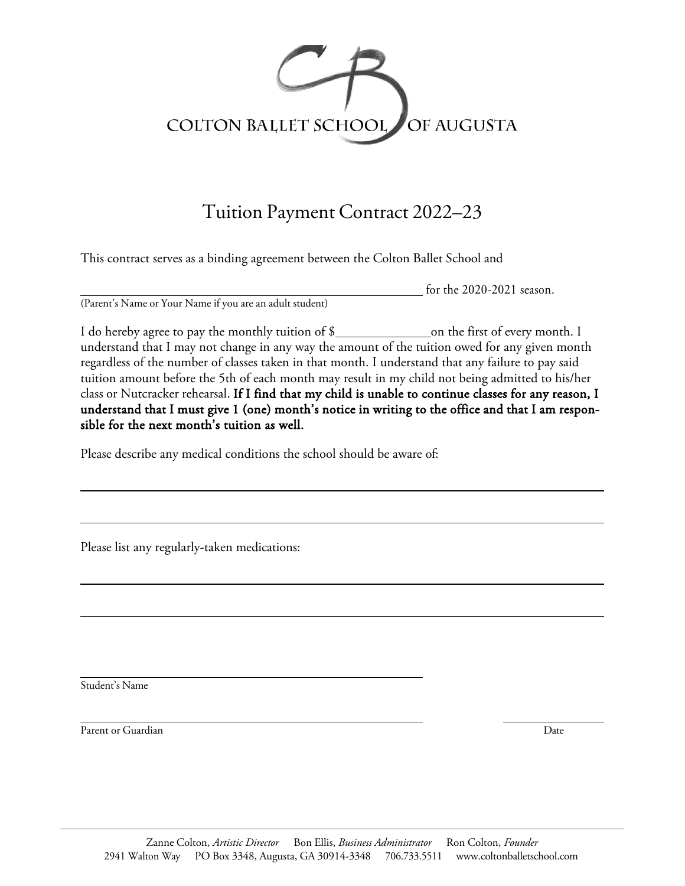

# Tuition Payment Contract 2022–23

This contract serves as a binding agreement between the Colton Ballet School and

(Parent's Name or Your Name if you are an adult student)

for the 2020-2021 season.

I do hereby agree to pay the monthly tuition of \$ on the first of every month. I understand that I may not change in any way the amount of the tuition owed for any given month regardless of the number of classes taken in that month. I understand that any failure to pay said tuition amount before the 5th of each month may result in my child not being admitted to his/her class or Nutcracker rehearsal. If I find that my child is unable to continue classes for any reason, I understand that I must give 1 (one) month's notice in writing to the office and that I am responsible for the next month's tuition as well.

Please describe any medical conditions the school should be aware of:

Please list any regularly-taken medications:

Student's Name

Parent or Guardian Date **Date of Guardian Date of Guardian Date** Date of Guardian Date of Guardian Date of Guardian Date of Guardian Date of Guardian Date of Guardian Date of Guardian Date of Guardian Date of Guardian Date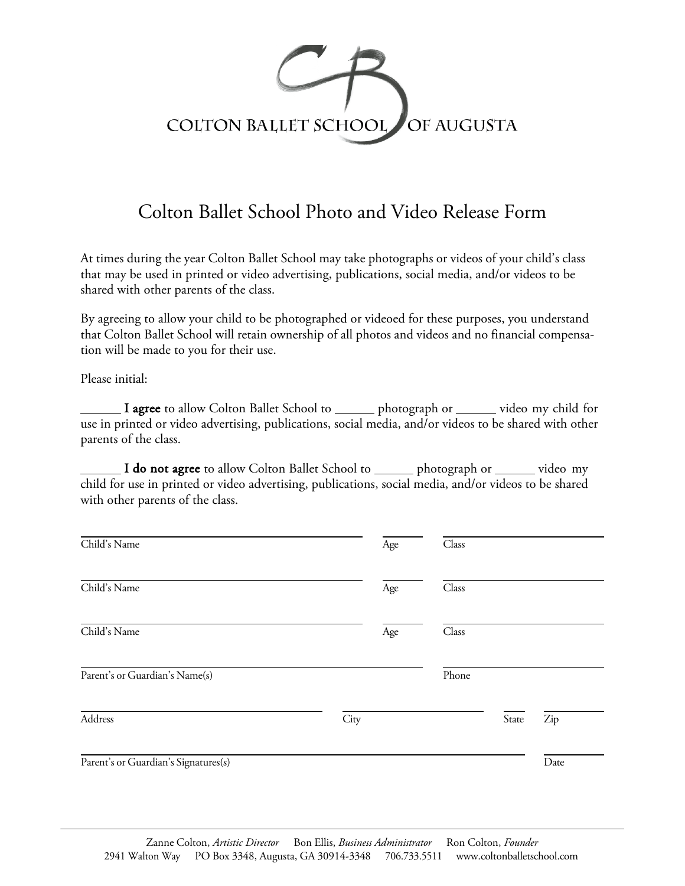

# Colton Ballet School Photo and Video Release Form

At times during the year Colton Ballet School may take photographs or videos of your child's class that may be used in printed or video advertising, publications, social media, and/or videos to be shared with other parents of the class.

By agreeing to allow your child to be photographed or videoed for these purposes, you understand that Colton Ballet School will retain ownership of all photos and videos and no financial compensation will be made to you for their use.

Please initial:

I agree to allow Colton Ballet School to \_\_\_\_\_\_ photograph or \_\_\_\_\_\_ video my child for use in printed or video advertising, publications, social media, and/or videos to be shared with other parents of the class.

I do not agree to allow Colton Ballet School to \_\_\_\_\_ photograph or \_\_\_\_\_ video my child for use in printed or video advertising, publications, social media, and/or videos to be shared with other parents of the class.

| Child's Name                         | Age  | Class |       |      |
|--------------------------------------|------|-------|-------|------|
| Child's Name                         | Age  | Class |       |      |
| Child's Name                         | Age  | Class |       |      |
| Parent's or Guardian's Name(s)       |      | Phone |       |      |
| Address                              | City |       | State | Zip  |
| Parent's or Guardian's Signatures(s) |      |       |       | Date |